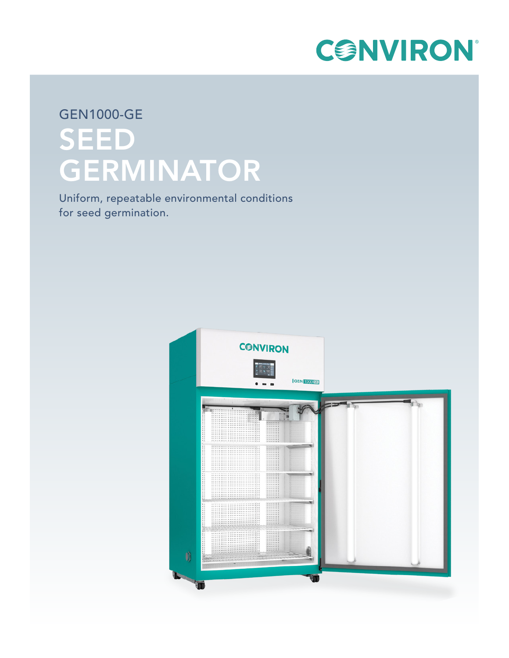

## GEN1000-GE SEED GERMINATOR

Uniform, repeatable environmental conditions for seed germination.